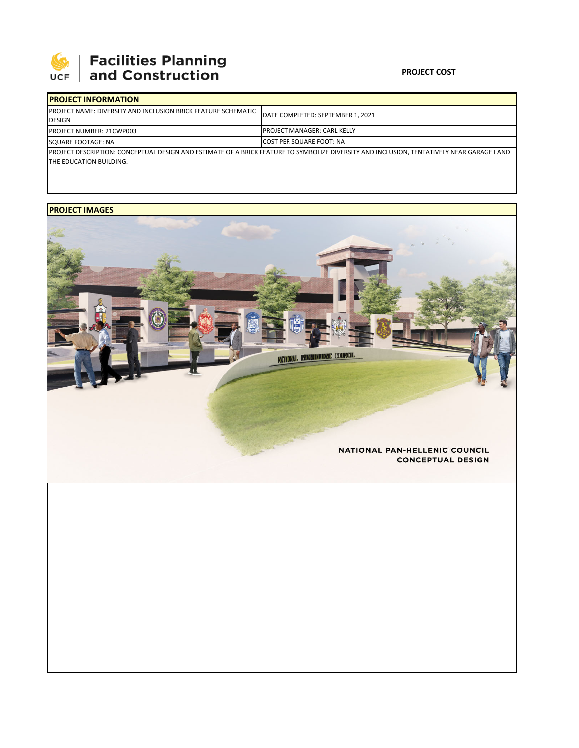

## 

### **PROJECT COST**

| <b>IPROJECT INFORMATION</b>                                                                                                                                           |                                     |  |  |  |
|-----------------------------------------------------------------------------------------------------------------------------------------------------------------------|-------------------------------------|--|--|--|
| <b>IPROJECT NAME: DIVERSITY AND INCLUSION BRICK FEATURE SCHEMATIC</b><br>DESIGN                                                                                       | DATE COMPLETED: SEPTEMBER 1, 2021   |  |  |  |
| <b>PROJECT NUMBER: 21CWP003</b>                                                                                                                                       | <b>IPROJECT MANAGER: CARL KELLY</b> |  |  |  |
| SQUARE FOOTAGE: NA                                                                                                                                                    | <b>ICOST PER SQUARE FOOT: NA</b>    |  |  |  |
| PROJECT DESCRIPTION: CONCEPTUAL DESIGN AND ESTIMATE OF A BRICK FEATURE TO SYMBOLIZE DIVERSITY AND INCLUSION, TENTATIVELY NEAR GARAGE I AND<br>THE EDUCATION BUILDING. |                                     |  |  |  |

## **PROJECT IMAGES**